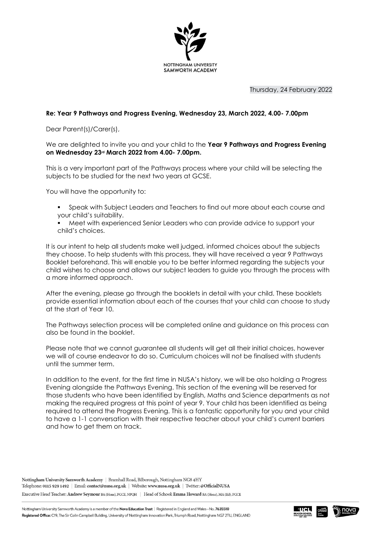

Thursday, 24 February 2022

## **Re: Year 9 Pathways and Progress Evening, Wednesday 23, March 2022, 4.00- 7.00pm**

Dear Parent(s)/Carer(s),

We are delighted to invite you and your child to the **Year 9 Pathways and Progress Evening on Wednesday 23rd March 2022 from 4.00- 7.00pm.**

This is a very important part of the Pathways process where your child will be selecting the subjects to be studied for the next two years at GCSE.

You will have the opportunity to:

- Speak with Subject Leaders and Teachers to find out more about each course and your child's suitability.
- Meet with experienced Senior Leaders who can provide advice to support your child's choices.

It is our intent to help all students make well judged, informed choices about the subjects they choose. To help students with this process, they will have received a year 9 Pathways Booklet beforehand. This will enable you to be better informed regarding the subjects your child wishes to choose and allows our subject leaders to guide you through the process with a more informed approach.

After the evening, please go through the booklets in detail with your child. These booklets provide essential information about each of the courses that your child can choose to study at the start of Year 10.

The Pathways selection process will be completed online and guidance on this process can also be found in the booklet.

Please note that we cannot guarantee all students will get all their initial choices, however we will of course endeavor to do so. Curriculum choices will not be finalised with students until the summer term.

In addition to the event, for the first time in NUSA's history, we will be also holding a Progress Evening alongside the Pathways Evening. This section of the evening will be reserved for those students who have been identified by English, Maths and Science departments as not making the required progress at this point of year 9. Your child has been identified as being required to attend the Progress Evening. This is a fantastic opportunity for you and your child to have a 1-1 conversation with their respective teacher about your child's current barriers and how to get them on track.

Nottingham University Samworth Academy | Bramhall Road, Bilborough, Nottingham NG8 4HY Telephone: 0115 929 1492 | Email: contact@nusa.org.uk | Website: www.nusa.org.uk | Twitter: @OfficialNUSA

Executive Head Teacher: Andrew Seymour BA (Hons), PGCE, NPQH | Head of School: Emma Howard BA (Hons), MA (Ed), PGCE